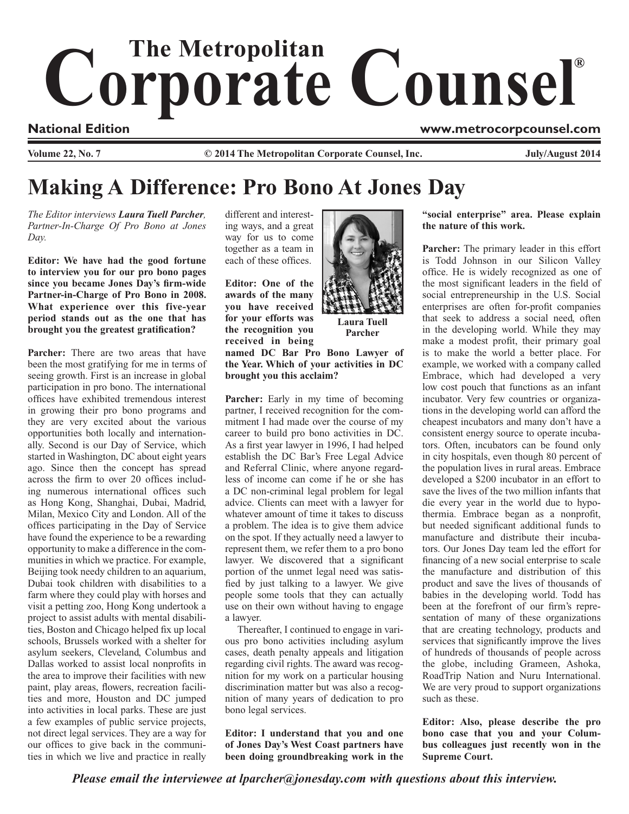# Corporate Counsel®

**Volume 22, No. 7** C 2014 The Metropolitan Corporate Counsel, Inc. 5. The Metropolitan Corporate Counsel, Inc.

### **National Edition www.metrocorpcounsel.com**

## **Making A Difference: Pro Bono At Jones Day**

*The Editor interviews Laura Tuell Parcher, Partner-In-Charge Of Pro Bono at Jones Day.*

**Editor: We have had the good fortune to interview you for our pro bono pages since you became Jones Day's firm-wide Partner-in-Charge of Pro Bono in 2008. What experience over this five-year period stands out as the one that has brought you the greatest gratification?**

**Parcher:** There are two areas that have been the most gratifying for me in terms of seeing growth. First is an increase in global participation in pro bono. The international offices have exhibited tremendous interest in growing their pro bono programs and they are very excited about the various opportunities both locally and internationally. Second is our Day of Service, which started in Washington, DC about eight years ago. Since then the concept has spread across the firm to over 20 offices including numerous international offices such as Hong Kong, Shanghai, Dubai, Madrid, Milan, Mexico City and London. All of the offices participating in the Day of Service have found the experience to be a rewarding opportunity to make a difference in the communities in which we practice. For example, Beijing took needy children to an aquarium, Dubai took children with disabilities to a farm where they could play with horses and visit a petting zoo, Hong Kong undertook a project to assist adults with mental disabilities, Boston and Chicago helped fix up local schools, Brussels worked with a shelter for asylum seekers, Cleveland, Columbus and Dallas worked to assist local nonprofits in the area to improve their facilities with new paint, play areas, flowers, recreation facilities and more, Houston and DC jumped into activities in local parks. These are just a few examples of public service projects, not direct legal services. They are a way for our offices to give back in the communities in which we live and practice in really

different and interesting ways, and a great way for us to come together as a team in each of these offices.

**Editor: One of the awards of the many you have received for your efforts was the recognition you received in being named DC Bar Pro Bono Lawyer of** 

**the Year. Which of your activities in DC brought you this acclaim?**

**Parcher:** Early in my time of becoming partner, I received recognition for the commitment I had made over the course of my career to build pro bono activities in DC. As a first year lawyer in 1996, I had helped establish the DC Bar's Free Legal Advice and Referral Clinic, where anyone regardless of income can come if he or she has a DC non-criminal legal problem for legal advice. Clients can meet with a lawyer for whatever amount of time it takes to discuss a problem. The idea is to give them advice on the spot. If they actually need a lawyer to represent them, we refer them to a pro bono lawyer. We discovered that a significant portion of the unmet legal need was satisfied by just talking to a lawyer. We give people some tools that they can actually use on their own without having to engage a lawyer.

Thereafter, I continued to engage in various pro bono activities including asylum cases, death penalty appeals and litigation regarding civil rights. The award was recognition for my work on a particular housing discrimination matter but was also a recognition of many years of dedication to pro bono legal services.

**Editor: I understand that you and one of Jones Day's West Coast partners have been doing groundbreaking work in the** 



**Laura Tuell Parcher**

**"social enterprise" area. Please explain the nature of this work.**

**Parcher:** The primary leader in this effort is Todd Johnson in our Silicon Valley office. He is widely recognized as one of the most significant leaders in the field of social entrepreneurship in the U.S. Social enterprises are often for-profit companies that seek to address a social need, often in the developing world. While they may make a modest profit, their primary goal is to make the world a better place. For example, we worked with a company called Embrace, which had developed a very low cost pouch that functions as an infant incubator. Very few countries or organizations in the developing world can afford the cheapest incubators and many don't have a consistent energy source to operate incubators. Often, incubators can be found only in city hospitals, even though 80 percent of the population lives in rural areas. Embrace developed a \$200 incubator in an effort to save the lives of the two million infants that die every year in the world due to hypothermia. Embrace began as a nonprofit, but needed significant additional funds to manufacture and distribute their incubators. Our Jones Day team led the effort for financing of a new social enterprise to scale the manufacture and distribution of this product and save the lives of thousands of babies in the developing world. Todd has been at the forefront of our firm's representation of many of these organizations that are creating technology, products and services that significantly improve the lives of hundreds of thousands of people across the globe, including Grameen, Ashoka, RoadTrip Nation and Nuru International. We are very proud to support organizations such as these.

**Editor: Also, please describe the pro bono case that you and your Columbus colleagues just recently won in the Supreme Court.**

*Please email the interviewee at lparcher@jonesday.com with questions about this interview.*